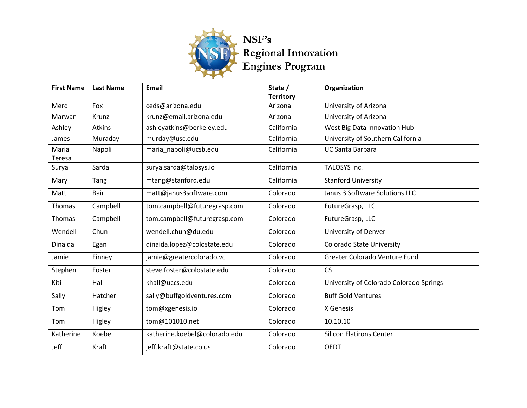

| <b>First Name</b> | <b>Last Name</b> | <b>Email</b>                  | State /          | Organization                            |
|-------------------|------------------|-------------------------------|------------------|-----------------------------------------|
|                   |                  |                               | <b>Territory</b> |                                         |
| Merc              | Fox              | ceds@arizona.edu              | Arizona          | University of Arizona                   |
| Marwan            | Krunz            | krunz@email.arizona.edu       | Arizona          | University of Arizona                   |
| Ashley            | <b>Atkins</b>    | ashleyatkins@berkeley.edu     | California       | West Big Data Innovation Hub            |
| James             | Muraday          | murday@usc.edu                | California       | University of Southern California       |
| Maria             | Napoli           | maria_napoli@ucsb.edu         | California       | <b>UC Santa Barbara</b>                 |
| Teresa            |                  |                               |                  |                                         |
| Surya             | Sarda            | surya.sarda@talosys.io        | California       | TALOSYS Inc.                            |
| Mary              | Tang             | mtang@stanford.edu            | California       | <b>Stanford University</b>              |
| Matt              | <b>Bair</b>      | matt@janus3software.com       | Colorado         | Janus 3 Software Solutions LLC          |
| Thomas            | Campbell         | tom.campbell@futuregrasp.com  | Colorado         | FutureGrasp, LLC                        |
| Thomas            | Campbell         | tom.campbell@futuregrasp.com  | Colorado         | FutureGrasp, LLC                        |
| Wendell           | Chun             | wendell.chun@du.edu           | Colorado         | University of Denver                    |
| Dinaida           | Egan             | dinaida.lopez@colostate.edu   | Colorado         | <b>Colorado State University</b>        |
| Jamie             | Finney           | jamie@greatercolorado.vc      | Colorado         | Greater Colorado Venture Fund           |
| Stephen           | Foster           | steve.foster@colostate.edu    | Colorado         | <b>CS</b>                               |
| Kiti              | Hall             | khall@uccs.edu                | Colorado         | University of Colorado Colorado Springs |
| Sally             | Hatcher          | sally@buffgoldventures.com    | Colorado         | <b>Buff Gold Ventures</b>               |
| Tom               | Higley           | tom@xgenesis.io               | Colorado         | X Genesis                               |
| Tom               | Higley           | tom@101010.net                | Colorado         | 10.10.10                                |
| Katherine         | Koebel           | katherine.koebel@colorado.edu | Colorado         | <b>Silicon Flatirons Center</b>         |
| Jeff              | Kraft            | jeff.kraft@state.co.us        | Colorado         | <b>OEDT</b>                             |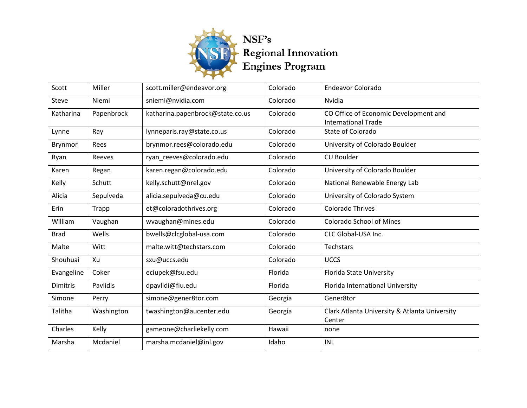

| Scott       | Miller     | scott.miller@endeavor.org        | Colorado | <b>Endeavor Colorado</b>                      |
|-------------|------------|----------------------------------|----------|-----------------------------------------------|
| Steve       | Niemi      | sniemi@nvidia.com                | Colorado | Nvidia                                        |
| Katharina   | Papenbrock | katharina.papenbrock@state.co.us | Colorado | CO Office of Economic Development and         |
|             |            |                                  |          | <b>International Trade</b>                    |
| Lynne       | Ray        | lynneparis.ray@state.co.us       | Colorado | State of Colorado                             |
| Brynmor     | Rees       | brynmor.rees@colorado.edu        | Colorado | University of Colorado Boulder                |
| Ryan        | Reeves     | ryan reeves@colorado.edu         | Colorado | <b>CU Boulder</b>                             |
| Karen       | Regan      | karen.regan@colorado.edu         | Colorado | University of Colorado Boulder                |
| Kelly       | Schutt     | kelly.schutt@nrel.gov            | Colorado | National Renewable Energy Lab                 |
| Alicia      | Sepulveda  | alicia.sepulveda@cu.edu          | Colorado | University of Colorado System                 |
| Erin        | Trapp      | et@coloradothrives.org           | Colorado | <b>Colorado Thrives</b>                       |
| William     | Vaughan    | wvaughan@mines.edu               | Colorado | <b>Colorado School of Mines</b>               |
| <b>Brad</b> | Wells      | bwells@clcglobal-usa.com         | Colorado | CLC Global-USA Inc.                           |
| Malte       | Witt       | malte.witt@techstars.com         | Colorado | Techstars                                     |
| Shouhuai    | Xu         | sxu@uccs.edu                     | Colorado | <b>UCCS</b>                                   |
| Evangeline  | Coker      | eciupek@fsu.edu                  | Florida  | Florida State University                      |
| Dimitris    | Pavlidis   | dpavlidi@fiu.edu                 | Florida  | Florida International University              |
| Simone      | Perry      | simone@gener8tor.com             | Georgia  | Gener8tor                                     |
| Talitha     | Washington | twashington@aucenter.edu         | Georgia  | Clark Atlanta University & Atlanta University |
|             |            |                                  |          | Center                                        |
| Charles     | Kelly      | gameone@charliekelly.com         | Hawaii   | none                                          |
| Marsha      | Mcdaniel   | marsha.mcdaniel@inl.gov          | Idaho    | INL                                           |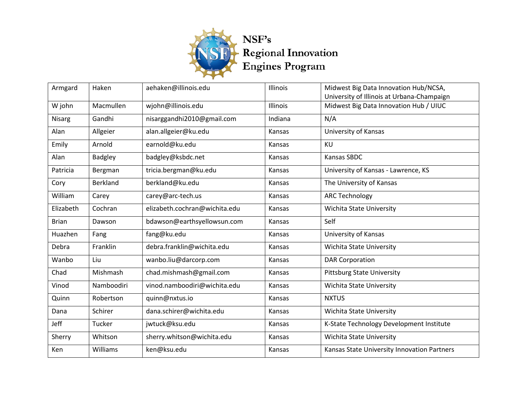

| Armgard       | Haken           | aehaken@illinois.edu          | Illinois        | Midwest Big Data Innovation Hub/NCSA,       |
|---------------|-----------------|-------------------------------|-----------------|---------------------------------------------|
|               |                 |                               |                 | University of Illinois at Urbana-Champaign  |
| W john        | Macmullen       | wjohn@illinois.edu            | <b>Illinois</b> | Midwest Big Data Innovation Hub / UIUC      |
| <b>Nisarg</b> | Gandhi          | nisarggandhi2010@gmail.com    | Indiana         | N/A                                         |
| Alan          | Allgeier        | alan.allgeier@ku.edu          | Kansas          | University of Kansas                        |
| Emily         | Arnold          | earnold@ku.edu                | Kansas          | KU                                          |
| Alan          | Badgley         | badgley@ksbdc.net             | Kansas          | <b>Kansas SBDC</b>                          |
| Patricia      | Bergman         | tricia.bergman@ku.edu         | Kansas          | University of Kansas - Lawrence, KS         |
| Cory          | <b>Berkland</b> | berkland@ku.edu               | Kansas          | The University of Kansas                    |
| William       | Carey           | carey@arc-tech.us             | Kansas          | <b>ARC Technology</b>                       |
| Elizabeth     | Cochran         | elizabeth.cochran@wichita.edu | Kansas          | <b>Wichita State University</b>             |
| <b>Brian</b>  | Dawson          | bdawson@earthsyellowsun.com   | Kansas          | Self                                        |
| Huazhen       | Fang            | fang@ku.edu                   | Kansas          | University of Kansas                        |
| Debra         | Franklin        | debra.franklin@wichita.edu    | Kansas          | <b>Wichita State University</b>             |
| Wanbo         | Liu             | wanbo.liu@darcorp.com         | Kansas          | <b>DAR Corporation</b>                      |
| Chad          | Mishmash        | chad.mishmash@gmail.com       | Kansas          | <b>Pittsburg State University</b>           |
| Vinod         | Namboodiri      | vinod.namboodiri@wichita.edu  | Kansas          | <b>Wichita State University</b>             |
| Quinn         | Robertson       | quinn@nxtus.io                | Kansas          | <b>NXTUS</b>                                |
| Dana          | Schirer         | dana.schirer@wichita.edu      | Kansas          | <b>Wichita State University</b>             |
| Jeff          | Tucker          | jwtuck@ksu.edu                | Kansas          | K-State Technology Development Institute    |
| Sherry        | Whitson         | sherry.whitson@wichita.edu    | Kansas          | <b>Wichita State University</b>             |
| Ken           | Williams        | ken@ksu.edu                   | Kansas          | Kansas State University Innovation Partners |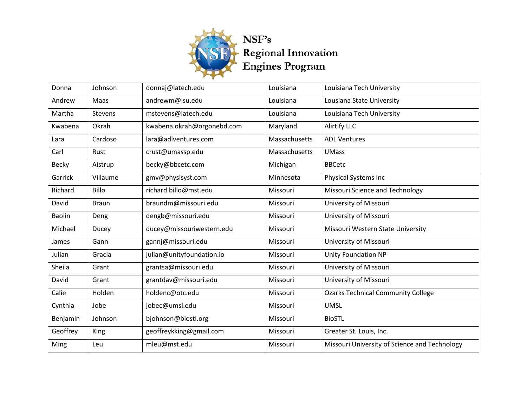

| Donna         | Johnson        | donnaj@latech.edu          | Louisiana     | Louisiana Tech University                     |
|---------------|----------------|----------------------------|---------------|-----------------------------------------------|
| Andrew        | Maas           | andrewm@lsu.edu            | Louisiana     | Lousiana State University                     |
| Martha        | <b>Stevens</b> | mstevens@latech.edu        | Louisiana     | Louisiana Tech University                     |
| Kwabena       | Okrah          | kwabena.okrah@orgonebd.com | Maryland      | <b>Alirtify LLC</b>                           |
| Lara          | Cardoso        | lara@adlventures.com       | Massachusetts | <b>ADL Ventures</b>                           |
| Carl          | Rust           | crust@umassp.edu           | Massachusetts | <b>UMass</b>                                  |
| Becky         | Aistrup        | becky@bbcetc.com           | Michigan      | <b>BBCetc</b>                                 |
| Garrick       | Villaume       | gmv@physisyst.com          | Minnesota     | <b>Physical Systems Inc</b>                   |
| Richard       | <b>Billo</b>   | richard.billo@mst.edu      | Missouri      | Missouri Science and Technology               |
| David         | <b>Braun</b>   | braundm@missouri.edu       | Missouri      | University of Missouri                        |
| <b>Baolin</b> | Deng           | dengb@missouri.edu         | Missouri      | University of Missouri                        |
| Michael       | Ducey          | ducey@missouriwestern.edu  | Missouri      | Missouri Western State University             |
| James         | Gann           | gannj@missouri.edu         | Missouri      | University of Missouri                        |
| Julian        | Gracia         | julian@unityfoundation.io  | Missouri      | <b>Unity Foundation NP</b>                    |
| Sheila        | Grant          | grantsa@missouri.edu       | Missouri      | University of Missouri                        |
| David         | Grant          | grantdav@missouri.edu      | Missouri      | University of Missouri                        |
| Calie         | Holden         | holdenc@otc.edu            | Missouri      | <b>Ozarks Technical Community College</b>     |
| Cynthia       | Jobe           | jobec@umsl.edu             | Missouri      | <b>UMSL</b>                                   |
| Benjamin      | Johnson        | bjohnson@biostl.org        | Missouri      | <b>BioSTL</b>                                 |
| Geoffrey      | King           | geoffreykking@gmail.com    | Missouri      | Greater St. Louis, Inc.                       |
| Ming          | Leu            | mleu@mst.edu               | Missouri      | Missouri University of Science and Technology |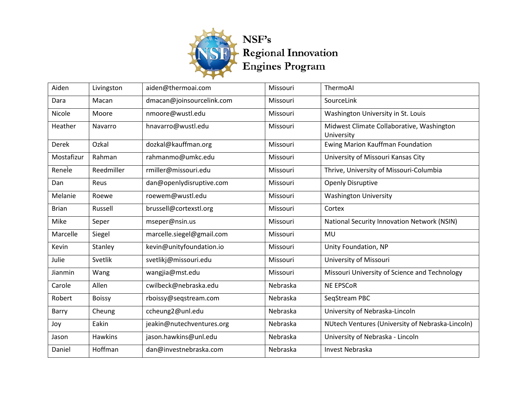

| Aiden        | Livingston    | aiden@thermoai.com        | Missouri | ThermoAl                                                |
|--------------|---------------|---------------------------|----------|---------------------------------------------------------|
| Dara         | Macan         | dmacan@joinsourcelink.com | Missouri | SourceLink                                              |
| Nicole       | Moore         | nmoore@wustl.edu          | Missouri | Washington University in St. Louis                      |
| Heather      | Navarro       | hnavarro@wustl.edu        | Missouri | Midwest Climate Collaborative, Washington<br>University |
| Derek        | Ozkal         | dozkal@kauffman.org       | Missouri | Ewing Marion Kauffman Foundation                        |
| Mostafizur   | Rahman        | rahmanmo@umkc.edu         | Missouri | University of Missouri Kansas City                      |
| Renele       | Reedmiller    | rmiller@missouri.edu      | Missouri | Thrive, University of Missouri-Columbia                 |
| Dan          | Reus          | dan@openlydisruptive.com  | Missouri | <b>Openly Disruptive</b>                                |
| Melanie      | Roewe         | roewem@wustl.edu          | Missouri | <b>Washington University</b>                            |
| <b>Brian</b> | Russell       | brussell@cortexstl.org    | Missouri | Cortex                                                  |
| Mike         | Seper         | mseper@nsin.us            | Missouri | National Security Innovation Network (NSIN)             |
| Marcelle     | Siegel        | marcelle.siegel@gmail.com | Missouri | MU                                                      |
| Kevin        | Stanley       | kevin@unityfoundation.io  | Missouri | Unity Foundation, NP                                    |
| Julie        | Svetlik       | svetlikj@missouri.edu     | Missouri | University of Missouri                                  |
| Jianmin      | Wang          | wangjia@mst.edu           | Missouri | Missouri University of Science and Technology           |
| Carole       | Allen         | cwilbeck@nebraska.edu     | Nebraska | <b>NE EPSCOR</b>                                        |
| Robert       | <b>Boissy</b> | rboissy@seqstream.com     | Nebraska | SegStream PBC                                           |
| Barry        | Cheung        | ccheung2@unl.edu          | Nebraska | University of Nebraska-Lincoln                          |
| Joy          | Eakin         | jeakin@nutechventures.org | Nebraska | NUtech Ventures (University of Nebraska-Lincoln)        |
| Jason        | Hawkins       | jason.hawkins@unl.edu     | Nebraska | University of Nebraska - Lincoln                        |
| Daniel       | Hoffman       | dan@investnebraska.com    | Nebraska | Invest Nebraska                                         |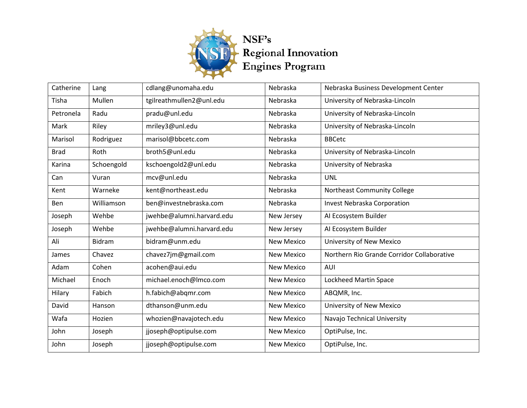

| Catherine   | Lang       | cdlang@unomaha.edu        | Nebraska          | Nebraska Business Development Center       |
|-------------|------------|---------------------------|-------------------|--------------------------------------------|
| Tisha       | Mullen     | tgilreathmullen2@unl.edu  | Nebraska          | University of Nebraska-Lincoln             |
| Petronela   | Radu       | pradu@unl.edu             | Nebraska          | University of Nebraska-Lincoln             |
| Mark        | Riley      | mriley3@unl.edu           | Nebraska          | University of Nebraska-Lincoln             |
| Marisol     | Rodriguez  | marisol@bbcetc.com        | Nebraska          | <b>BBCetc</b>                              |
| <b>Brad</b> | Roth       | broth5@unl.edu            | Nebraska          | University of Nebraska-Lincoln             |
| Karina      | Schoengold | kschoengold2@unl.edu      | Nebraska          | University of Nebraska                     |
| Can         | Vuran      | mcv@unl.edu               | Nebraska          | <b>UNL</b>                                 |
| Kent        | Warneke    | kent@northeast.edu        | Nebraska          | <b>Northeast Community College</b>         |
| Ben         | Williamson | ben@investnebraska.com    | Nebraska          | <b>Invest Nebraska Corporation</b>         |
| Joseph      | Wehbe      | jwehbe@alumni.harvard.edu | New Jersey        | AI Ecosystem Builder                       |
| Joseph      | Wehbe      | jwehbe@alumni.harvard.edu | New Jersey        | AI Ecosystem Builder                       |
| Ali         | Bidram     | bidram@unm.edu            | <b>New Mexico</b> | University of New Mexico                   |
| James       | Chavez     | chavez7jm@gmail.com       | <b>New Mexico</b> | Northern Rio Grande Corridor Collaborative |
| Adam        | Cohen      | acohen@aui.edu            | <b>New Mexico</b> | AUI                                        |
| Michael     | Enoch      | michael.enoch@lmco.com    | <b>New Mexico</b> | <b>Lockheed Martin Space</b>               |
| Hilary      | Fabich     | h.fabich@abqmr.com        | <b>New Mexico</b> | ABQMR, Inc.                                |
| David       | Hanson     | dthanson@unm.edu          | <b>New Mexico</b> | University of New Mexico                   |
| Wafa        | Hozien     | whozien@navajotech.edu    | <b>New Mexico</b> | Navajo Technical University                |
| John        | Joseph     | jjoseph@optipulse.com     | <b>New Mexico</b> | OptiPulse, Inc.                            |
| John        | Joseph     | jjoseph@optipulse.com     | <b>New Mexico</b> | OptiPulse, Inc.                            |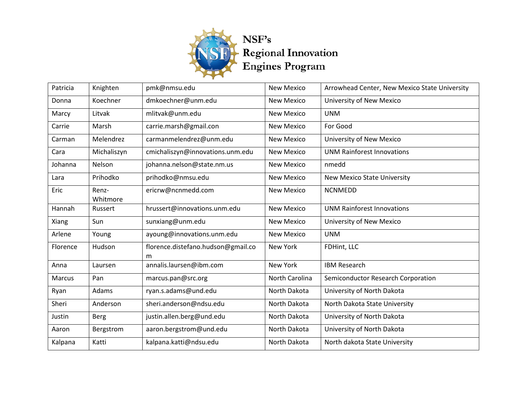

| Patricia | Knighten          | pmk@nmsu.edu                            | <b>New Mexico</b> | Arrowhead Center, New Mexico State University |
|----------|-------------------|-----------------------------------------|-------------------|-----------------------------------------------|
| Donna    | Koechner          | dmkoechner@unm.edu                      | <b>New Mexico</b> | University of New Mexico                      |
| Marcy    | Litvak            | mlitvak@unm.edu                         | <b>New Mexico</b> | <b>UNM</b>                                    |
| Carrie   | Marsh             | carrie.marsh@gmail.con                  | <b>New Mexico</b> | For Good                                      |
| Carman   | Melendrez         | carmanmelendrez@unm.edu                 | <b>New Mexico</b> | <b>University of New Mexico</b>               |
| Cara     | Michaliszyn       | cmichaliszyn@innovations.unm.edu        | <b>New Mexico</b> | <b>UNM Rainforest Innovations</b>             |
| Johanna  | Nelson            | johanna.nelson@state.nm.us              | <b>New Mexico</b> | nmedd                                         |
| Lara     | Prihodko          | prihodko@nmsu.edu                       | <b>New Mexico</b> | <b>New Mexico State University</b>            |
| Eric     | Renz-<br>Whitmore | ericrw@ncnmedd.com                      | <b>New Mexico</b> | <b>NCNMEDD</b>                                |
| Hannah   | Russert           | hrussert@innovations.unm.edu            | <b>New Mexico</b> | <b>UNM Rainforest Innovations</b>             |
| Xiang    | Sun               | sunxiang@unm.edu                        | <b>New Mexico</b> | University of New Mexico                      |
| Arlene   | Young             | ayoung@innovations.unm.edu              | <b>New Mexico</b> | <b>UNM</b>                                    |
| Florence | Hudson            | florence.distefano.hudson@gmail.co<br>m | <b>New York</b>   | FDHint, LLC                                   |
| Anna     | Laursen           | annalis.laursen@ibm.com                 | <b>New York</b>   | <b>IBM Research</b>                           |
| Marcus   | Pan               | marcus.pan@src.org                      | North Carolina    | Semiconductor Research Corporation            |
| Ryan     | Adams             | ryan.s.adams@und.edu                    | North Dakota      | University of North Dakota                    |
| Sheri    | Anderson          | sheri.anderson@ndsu.edu                 | North Dakota      | North Dakota State University                 |
| Justin   | <b>Berg</b>       | justin.allen.berg@und.edu               | North Dakota      | University of North Dakota                    |
| Aaron    | Bergstrom         | aaron.bergstrom@und.edu                 | North Dakota      | University of North Dakota                    |
| Kalpana  | Katti             | kalpana.katti@ndsu.edu                  | North Dakota      | North dakota State University                 |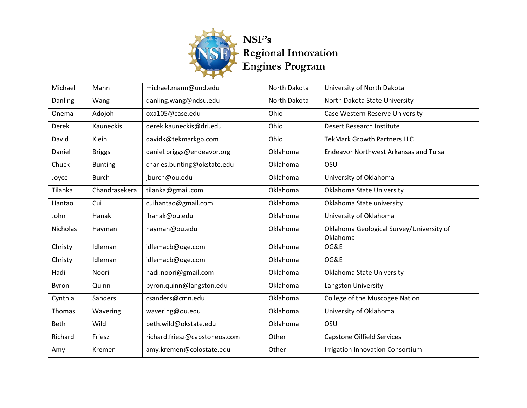

| Michael         | Mann           | michael.mann@und.edu          | North Dakota | University of North Dakota                   |
|-----------------|----------------|-------------------------------|--------------|----------------------------------------------|
| Danling         | Wang           | danling.wang@ndsu.edu         | North Dakota | North Dakota State University                |
| Onema           | Adojoh         | oxa105@case.edu               | Ohio         | Case Western Reserve University              |
| <b>Derek</b>    | Kauneckis      | derek.kauneckis@dri.edu       | Ohio         | Desert Research Institute                    |
| David           | Klein          | davidk@tekmarkgp.com          | Ohio         | <b>TekMark Growth Partners LLC</b>           |
| Daniel          | <b>Briggs</b>  | daniel.briggs@endeavor.org    | Oklahoma     | <b>Endeavor Northwest Arkansas and Tulsa</b> |
| Chuck           | <b>Bunting</b> | charles.bunting@okstate.edu   | Oklahoma     | OSU                                          |
| Joyce           | <b>Burch</b>   | jburch@ou.edu                 | Oklahoma     | University of Oklahoma                       |
| Tilanka         | Chandrasekera  | tilanka@gmail.com             | Oklahoma     | Oklahoma State University                    |
| Hantao          | Cui            | cuihantao@gmail.com           | Oklahoma     | Oklahoma State university                    |
| John            | Hanak          | jhanak@ou.edu                 | Oklahoma     | University of Oklahoma                       |
| <b>Nicholas</b> | Hayman         | hayman@ou.edu                 | Oklahoma     | Oklahoma Geological Survey/University of     |
|                 |                |                               |              | Oklahoma                                     |
| Christy         | Idleman        | idlemacb@oge.com              | Oklahoma     | OG&E                                         |
| Christy         | Idleman        | idlemacb@oge.com              | Oklahoma     | OG&E                                         |
| Hadi            | Noori          | hadi.noori@gmail.com          | Oklahoma     | Oklahoma State University                    |
| Byron           | Quinn          | byron.quinn@langston.edu      | Oklahoma     | Langston University                          |
| Cynthia         | Sanders        | csanders@cmn.edu              | Oklahoma     | College of the Muscogee Nation               |
| <b>Thomas</b>   | Wavering       | wavering@ou.edu               | Oklahoma     | University of Oklahoma                       |
| Beth            | Wild           | beth.wild@okstate.edu         | Oklahoma     | OSU                                          |
| Richard         | Friesz         | richard.friesz@capstoneos.com | Other        | <b>Capstone Oilfield Services</b>            |
| Amy             | Kremen         | amy.kremen@colostate.edu      | Other        | <b>Irrigation Innovation Consortium</b>      |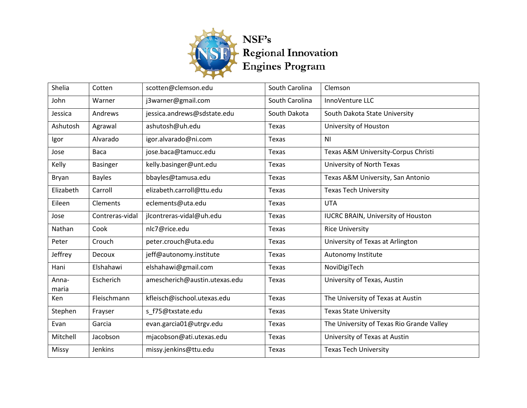

| Shelia         | Cotten          | scotten@clemson.edu           | South Carolina | Clemson                                   |
|----------------|-----------------|-------------------------------|----------------|-------------------------------------------|
| John           | Warner          | j3warner@gmail.com            | South Carolina | InnoVenture LLC                           |
| Jessica        | Andrews         | jessica.andrews@sdstate.edu   | South Dakota   | South Dakota State University             |
| Ashutosh       | Agrawal         | ashutosh@uh.edu               | Texas          | University of Houston                     |
| Igor           | Alvarado        | igor.alvarado@ni.com          | Texas          | N <sub>1</sub>                            |
| Jose           | Baca            | jose.baca@tamucc.edu          | Texas          | Texas A&M University-Corpus Christi       |
| Kelly          | <b>Basinger</b> | kelly.basinger@unt.edu        | Texas          | University of North Texas                 |
| Bryan          | <b>Bayles</b>   | bbayles@tamusa.edu            | Texas          | Texas A&M University, San Antonio         |
| Elizabeth      | Carroll         | elizabeth.carroll@ttu.edu     | <b>Texas</b>   | <b>Texas Tech University</b>              |
| Eileen         | Clements        | eclements@uta.edu             | Texas          | <b>UTA</b>                                |
| Jose           | Contreras-vidal | jlcontreras-vidal@uh.edu      | Texas          | <b>IUCRC BRAIN, University of Houston</b> |
| Nathan         | Cook            | nlc7@rice.edu                 | <b>Texas</b>   | <b>Rice University</b>                    |
| Peter          | Crouch          | peter.crouch@uta.edu          | Texas          | University of Texas at Arlington          |
| Jeffrey        | Decoux          | jeff@autonomy.institute       | Texas          | Autonomy Institute                        |
| Hani           | Elshahawi       | elshahawi@gmail.com           | <b>Texas</b>   | NoviDigiTech                              |
| Anna-<br>maria | Escherich       | amescherich@austin.utexas.edu | Texas          | University of Texas, Austin               |
| Ken            | Fleischmann     | kfleisch@ischool.utexas.edu   | Texas          | The University of Texas at Austin         |
| Stephen        | Frayser         | s f75@txstate.edu             | Texas          | <b>Texas State University</b>             |
| Evan           | Garcia          | evan.garcia01@utrgv.edu       | Texas          | The University of Texas Rio Grande Valley |
| Mitchell       | Jacobson        | mjacobson@ati.utexas.edu      | Texas          | University of Texas at Austin             |
| Missy          | Jenkins         | missy.jenkins@ttu.edu         | Texas          | <b>Texas Tech University</b>              |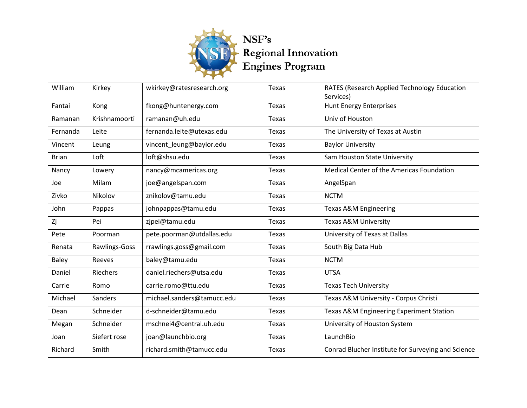

| William      | Kirkey        | wkirkey@ratesresearch.org  | Texas        | RATES (Research Applied Technology Education<br>Services) |
|--------------|---------------|----------------------------|--------------|-----------------------------------------------------------|
| Fantai       | Kong          | fkong@huntenergy.com       | Texas        | <b>Hunt Energy Enterprises</b>                            |
| Ramanan      | Krishnamoorti | ramanan@uh.edu             | <b>Texas</b> | Univ of Houston                                           |
| Fernanda     | Leite         | fernanda.leite@utexas.edu  | Texas        | The University of Texas at Austin                         |
| Vincent      | Leung         | vincent_leung@baylor.edu   | Texas        | <b>Baylor University</b>                                  |
| <b>Brian</b> | Loft          | loft@shsu.edu              | Texas        | Sam Houston State University                              |
| Nancy        | Lowery        | nancy@mcamericas.org       | <b>Texas</b> | Medical Center of the Americas Foundation                 |
| Joe          | Milam         | joe@angelspan.com          | Texas        | AngelSpan                                                 |
| Zivko        | Nikolov       | znikolov@tamu.edu          | Texas        | <b>NCTM</b>                                               |
| John         | Pappas        | johnpappas@tamu.edu        | Texas        | <b>Texas A&amp;M Engineering</b>                          |
| Zj           | Pei           | zjpei@tamu.edu             | Texas        | <b>Texas A&amp;M University</b>                           |
| Pete         | Poorman       | pete.poorman@utdallas.edu  | Texas        | University of Texas at Dallas                             |
| Renata       | Rawlings-Goss | rrawlings.goss@gmail.com   | Texas        | South Big Data Hub                                        |
| Baley        | Reeves        | baley@tamu.edu             | Texas        | <b>NCTM</b>                                               |
| Daniel       | Riechers      | daniel.riechers@utsa.edu   | Texas        | <b>UTSA</b>                                               |
| Carrie       | Romo          | carrie.romo@ttu.edu        | Texas        | <b>Texas Tech University</b>                              |
| Michael      | Sanders       | michael.sanders@tamucc.edu | Texas        | Texas A&M University - Corpus Christi                     |
| Dean         | Schneider     | d-schneider@tamu.edu       | Texas        | Texas A&M Engineering Experiment Station                  |
| Megan        | Schneider     | mschnei4@central.uh.edu    | Texas        | University of Houston System                              |
| Joan         | Siefert rose  | joan@launchbio.org         | Texas        | LaunchBio                                                 |
| Richard      | Smith         | richard.smith@tamucc.edu   | Texas        | Conrad Blucher Institute for Surveying and Science        |